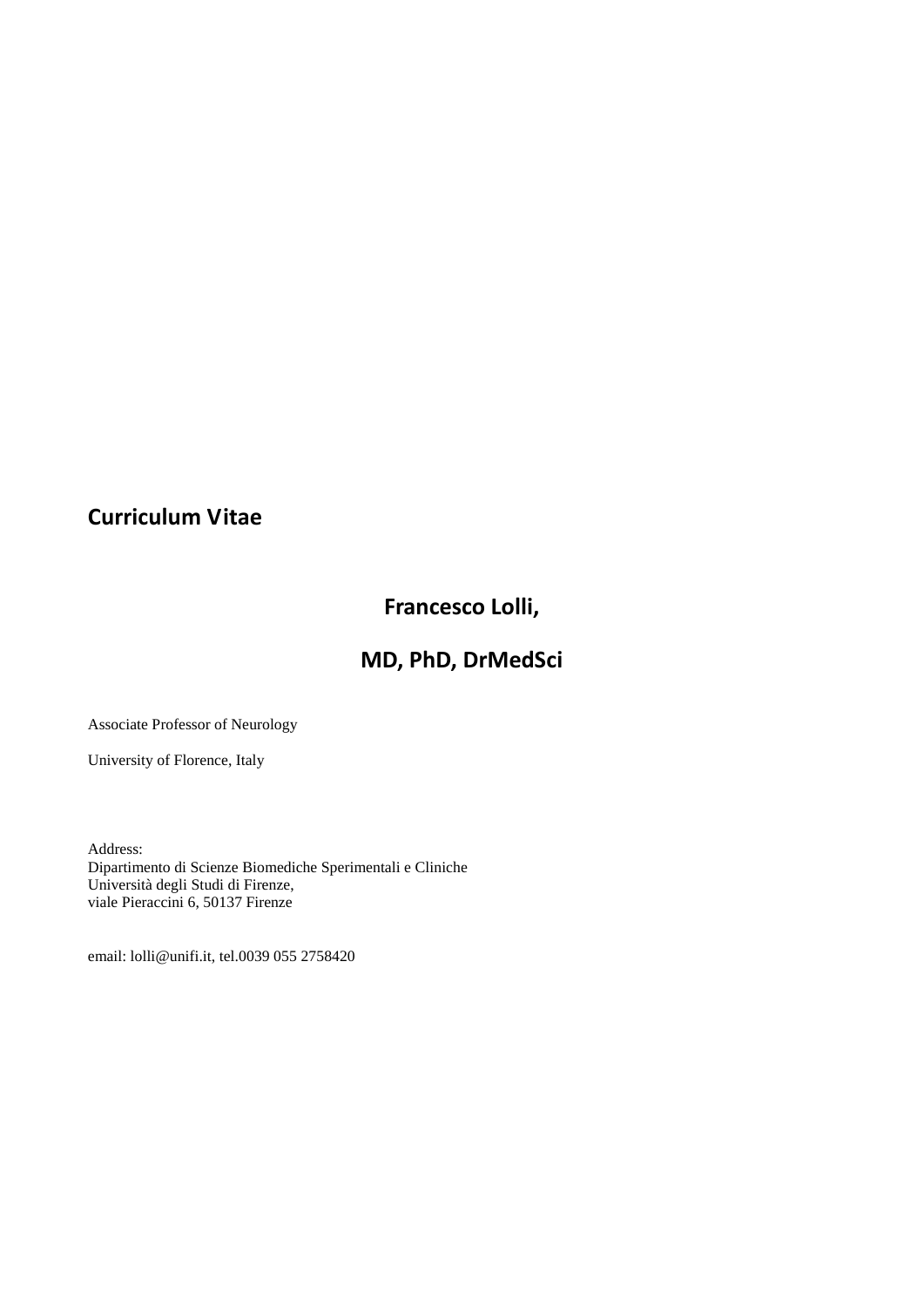## **Curriculum Vitae**

# **Francesco Lolli,**

## **MD, PhD, DrMedSci**

Associate Professor of Neurology

University of Florence, Italy

Address: Dipartimento di Scienze Biomediche Sperimentali e Cliniche Università degli Studi di Firenze, viale Pieraccini 6, 50137 Firenze

email: [lolli@unifi.it,](mailto:lolli@unifi.it) tel.0039 055 2758420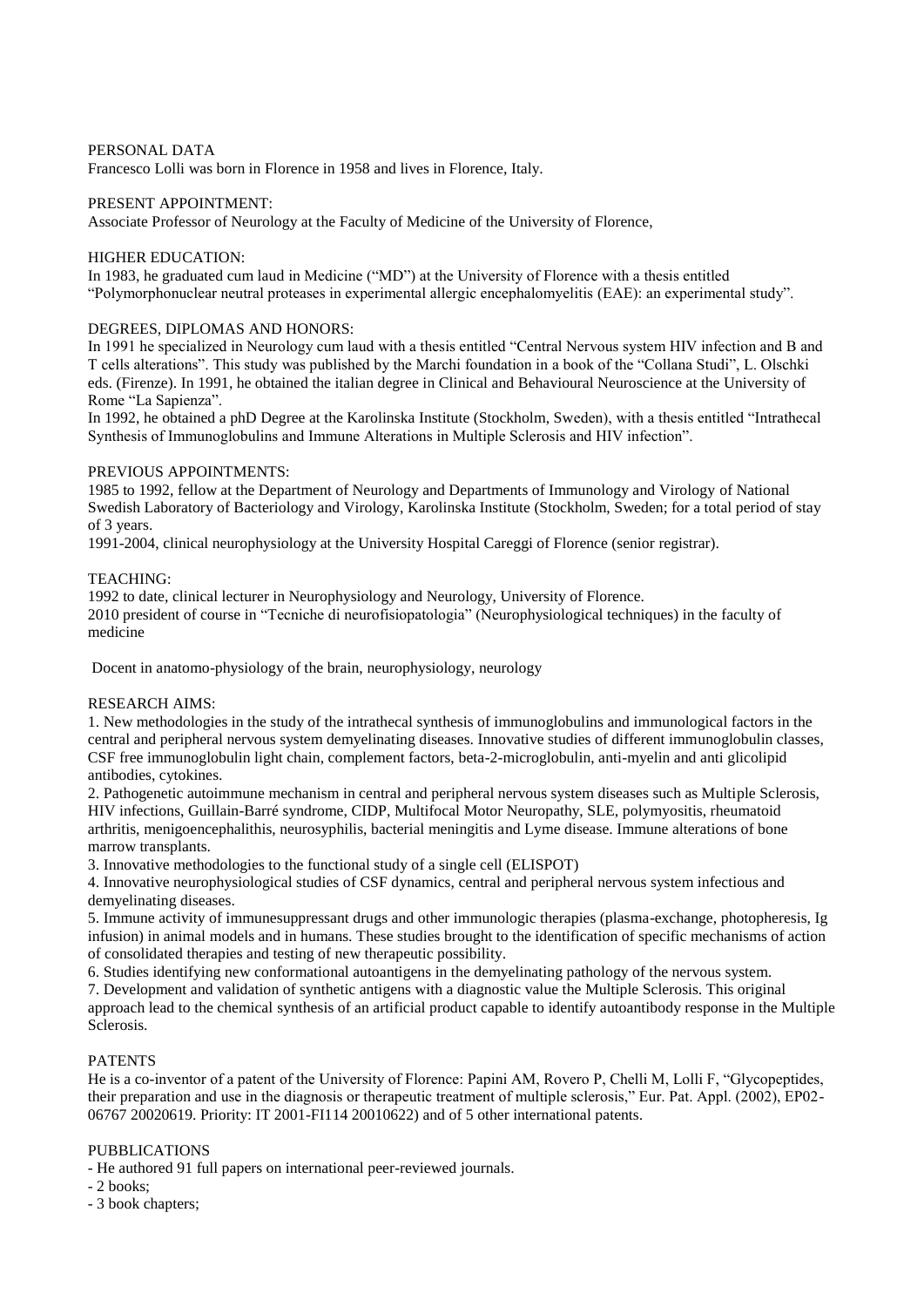#### PERSONAL DATA

Francesco Lolli was born in Florence in 1958 and lives in Florence, Italy.

### PRESENT APPOINTMENT:

Associate Professor of Neurology at the Faculty of Medicine of the University of Florence,

#### HIGHER EDUCATION:

In 1983, he graduated cum laud in Medicine ("MD") at the University of Florence with a thesis entitled "Polymorphonuclear neutral proteases in experimental allergic encephalomyelitis (EAE): an experimental study".

## DEGREES, DIPLOMAS AND HONORS:

In 1991 he specialized in Neurology cum laud with a thesis entitled "Central Nervous system HIV infection and B and T cells alterations". This study was published by the Marchi foundation in a book of the "Collana Studi", L. Olschki eds. (Firenze). In 1991, he obtained the italian degree in Clinical and Behavioural Neuroscience at the University of Rome "La Sapienza".

In 1992, he obtained a phD Degree at the Karolinska Institute (Stockholm, Sweden), with a thesis entitled "Intrathecal Synthesis of Immunoglobulins and Immune Alterations in Multiple Sclerosis and HIV infection".

## PREVIOUS APPOINTMENTS:

1985 to 1992, fellow at the Department of Neurology and Departments of Immunology and Virology of National Swedish Laboratory of Bacteriology and Virology, Karolinska Institute (Stockholm, Sweden; for a total period of stay of 3 years.

1991-2004, clinical neurophysiology at the University Hospital Careggi of Florence (senior registrar).

#### TEACHING:

1992 to date, clinical lecturer in Neurophysiology and Neurology, University of Florence. 2010 president of course in "Tecniche di neurofisiopatologia" (Neurophysiological techniques) in the faculty of medicine

Docent in anatomo-physiology of the brain, neurophysiology, neurology

#### RESEARCH AIMS:

1. New methodologies in the study of the intrathecal synthesis of immunoglobulins and immunological factors in the central and peripheral nervous system demyelinating diseases. Innovative studies of different immunoglobulin classes, CSF free immunoglobulin light chain, complement factors, beta-2-microglobulin, anti-myelin and anti glicolipid antibodies, cytokines.

2. Pathogenetic autoimmune mechanism in central and peripheral nervous system diseases such as Multiple Sclerosis, HIV infections, Guillain-Barré syndrome, CIDP, Multifocal Motor Neuropathy, SLE, polymyositis, rheumatoid arthritis, menigoencephalithis, neurosyphilis, bacterial meningitis and Lyme disease. Immune alterations of bone marrow transplants.

3. Innovative methodologies to the functional study of a single cell (ELISPOT)

4. Innovative neurophysiological studies of CSF dynamics, central and peripheral nervous system infectious and demyelinating diseases.

5. Immune activity of immunesuppressant drugs and other immunologic therapies (plasma-exchange, photopheresis, Ig infusion) in animal models and in humans. These studies brought to the identification of specific mechanisms of action of consolidated therapies and testing of new therapeutic possibility.

6. Studies identifying new conformational autoantigens in the demyelinating pathology of the nervous system.

7. Development and validation of synthetic antigens with a diagnostic value the Multiple Sclerosis. This original approach lead to the chemical synthesis of an artificial product capable to identify autoantibody response in the Multiple Sclerosis.

## PATENTS

He is a co-inventor of a patent of the University of Florence: Papini AM, Rovero P, Chelli M, Lolli F, "Glycopeptides, their preparation and use in the diagnosis or therapeutic treatment of multiple sclerosis," Eur. Pat. Appl. (2002), EP02- 06767 20020619. Priority: IT 2001-FI114 20010622) and of 5 other international patents.

## PUBBLICATIONS

- He authored 91 full papers on international peer-reviewed journals.

- 2 books;
- 3 book chapters;